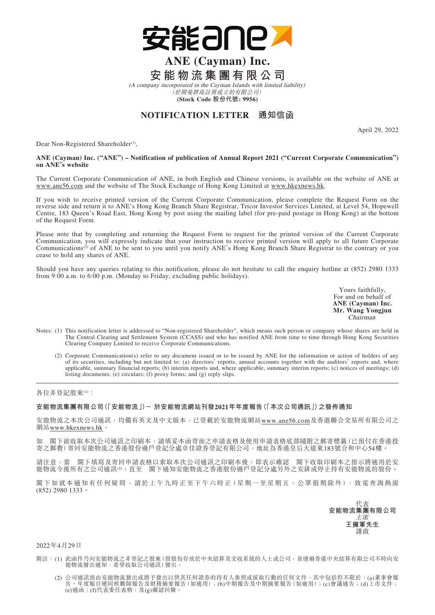

## **ANE (Cayman) Inc. 安能物流集團有限公司**

(A company incorporated in the Cayman Islands with limited liability) (於開曼群島註冊成立的有限公司) **(Stock Code 股份代號: 9956)**

## **NOTIFICATION LETTER 通知信函**

April 29, 2022

Dear Non-Registered Shareholder<sup>(1)</sup>,

## **ANE (Cayman) Inc. ("ANE") – Notification of publication of Annual Report 2021 ("Current Corporate Communication") on ANE's website**

The Current Corporate Communication of ANE, in both English and Chinese versions, is available on the website of ANE at www.ane56.com and the website of The Stock Exchange of Hong Kong Limited at www.hkexnews.hk.

If you wish to receive printed version of the Current Corporate Communication, please complete the Request Form on the reverse side and return it to ANE's Hong Kong Branch Share Registrar, Tricor Investor Services Limited, at Level 54, Hopewell Centre, 183 Queen's Road East, Hong Kong by post using the mailing label (for pre-paid postage in Hong Kong) at the bottom of the Request Form.

Please note that by completing and returning the Request Form to request for the printed version of the Current Corporate Communication, you will expressly indicate that your instruction to receive printed version will apply to all future Corporate Communications<sup>(2)</sup> of ANE to be sent to you until you notify ANE's Hong Kong Branch Share Registrar to the contrary or you cease to hold any shares of ANE.

Should you have any queries relating to this notification, please do not hesitate to call the enquiry hotline at (852) 2980 1333 from 9:00 a.m. to 6:00 p.m. (Monday to Friday, excluding public holidays).

> Yours faithfully, For and on behalf of **ANE (Cayman) Inc. Mr. Wang Yongjun** Chairman

- Notes: (1) This notification letter is addressed to "Non-registered Shareholder", which means such person or company whose shares are held in The Central Clearing and Settlement System (CCASS) and who has notified ANE from time to time through Hong Kong Securities Clearing Company Limited to receive Corporate Communications.
	- (2) Corporate Communication(s) refer to any document issued or to be issued by ANE for the information or action of holders of any of its securities, including but not limited to: (a) directors' reports, annual accounts together with the auditors' reports and, where applicable, summary financial reports; (b) interim reports and, where applicable, summary interim reports; (c) notices of meetings; (d) listing documents; (e) circulars; (f) proxy forms; and (g) reply slips.

各位非登記股東(1):

**安能物流集團有限公司(「安能物流」)- 於安能物流網站刊發2021年年度報告(「本次公司通訊」)之發佈通知**

安能物流之本次公司通訊,均備有英文及中文版本,已登載於安能物流網站www.ane56.com及香港聯合交易所有限公司之 網站www.hkexnews.hk。

如 閣下欲收取本次公司通訊之印刷本,請填妥本函背面之申請表格及使用申請表格底部隨附之郵寄標籤(已預付在香港投 寄之郵費)寄回安能物流之香港股份過戶登記分處卓佳證券登記有限公司,地址為香港皇后大道東183號合和中心54樓。

請注意,當 閣下填寫及寄回申請表格以索取本次公司通訊之印刷本後,即表示確認 閣下收取印刷本之指示將適用於安 能物流今後所有之公司通訊(2),直至 閣下通知安能物流之香港股份過戶登記分處另外之安排或停止持有安能物流的股份。

閣下如就本通知有任何疑問,請於上午九時正至下午六時正(星期一至星期五,公眾假期除外),致電查詢熱線 (852) 2980 1333。

代表 **安能物流集團有限公司** 主席 **王擁軍先生** 謹啟

2022年4月29日

- 附註:(1) 此函件乃向安能物流之非登記之股東(指股份存放於中央結算及交收系統的人士或公司,並透過香港中央結算有限公司不時向安 能物流發出通知,希望收取公司通訊)發出。
- (2) 公司通訊指由安能物流發出或將予發出以供其任何證券的持有人參照或採取行動的任何文件,其中包括但不限於:(a)董事會報 告、年度賬目連同核數師報告及財務摘要報告(如適用);(b)中期報告及中期摘要報告(如適用);(c)會議通告;(d)上市文件;  $\overbrace{(\epsilon)}$ 通函;(f)代表委任表格;及 $\overbrace{(\epsilon)}$ 確認回條。